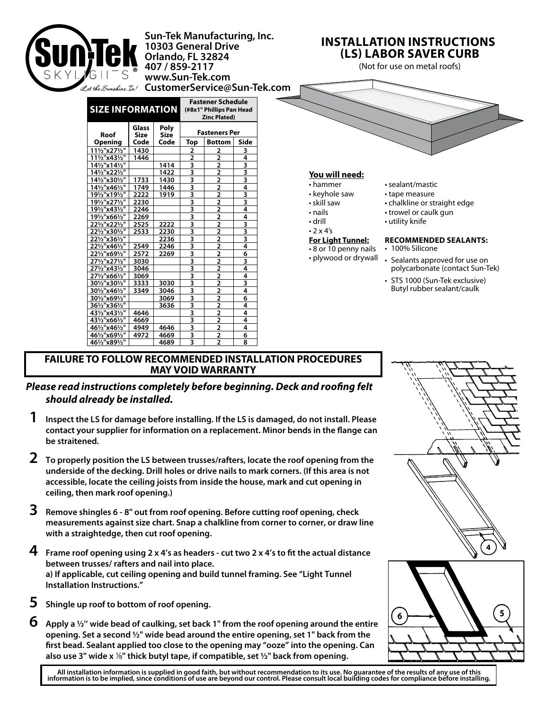

## **FAILURE TO FOLLOW RECOMMENDED INSTALLATION PROCEDURES MAY VOID WARRANTY**

## *Please read instructions completely before beginning. Deck and roofing felt should already be installed.*

- **1 Inspect the LS for damage before installing. If the LS is damaged, do not install. Please contact your supplier for information on a replacement. Minor bends in the flange can be straitened.**
- **2 To properly position the LS between trusses/rafters, locate the roof opening from the underside of the decking. Drill holes or drive nails to mark corners. (If this area is not accessible, locate the ceiling joists from inside the house, mark and cut opening in ceiling, then mark roof opening.)**
- **3 Remove shingles 6 8" out from roof opening. Before cutting roof opening, check measurements against size chart. Snap a chalkline from corner to corner, or draw line with a straightedge, then cut roof opening.**
- **4 Frame roof opening using 2 x 4's as headers cut two 2 x 4's to fit the actual distance between trusses/ rafters and nail into place. a) If applicable, cut ceiling opening and build tunnel framing. See "Light Tunnel Installation Instructions."**
- **5 Shingle up roof to bottom of roof opening.**
- **6 Apply a ½'' wide bead of caulking, set back 1" from the roof opening around the entire opening. Set a second ½" wide bead around the entire opening, set 1" back from the first bead. Sealant applied too close to the opening may "ooze" into the opening. Can also use 3" wide x** 18**" thick butyl tape, if compatible, set ½" back from opening.**





All installation information is supplied in good faith, but without recommendation to its use. No guarantee of the results of any use of this<br>information is to be implied, since conditions of use are beyond our control. Pl